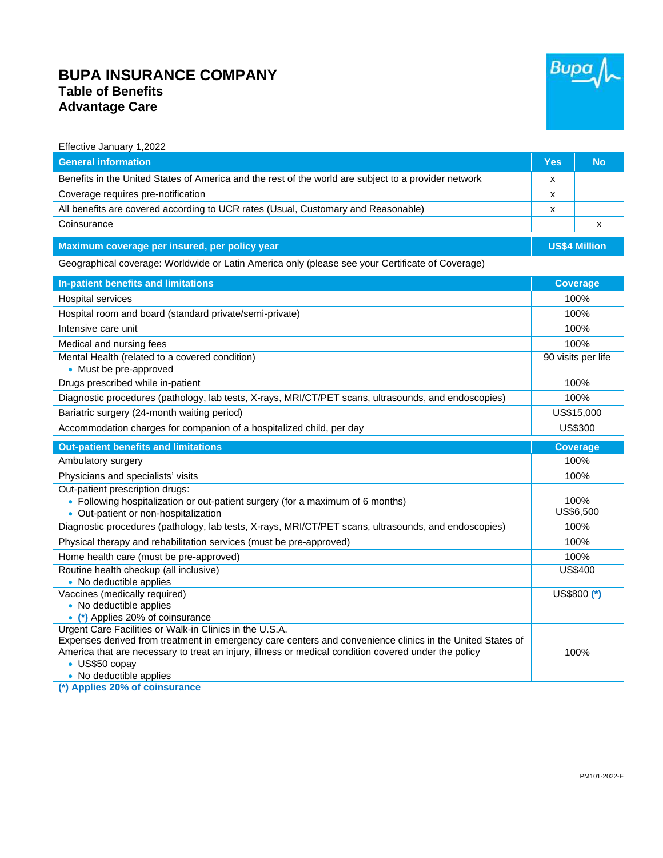## **BUPA INSURANCE COMPANY Table of Benefits Advantage Care**



| Effective January 1,2022                                                                                                                                                                                                                                                                                                  |                      |                           |
|---------------------------------------------------------------------------------------------------------------------------------------------------------------------------------------------------------------------------------------------------------------------------------------------------------------------------|----------------------|---------------------------|
| <b>General information</b>                                                                                                                                                                                                                                                                                                | <b>Yes</b>           | <b>No</b>                 |
| Benefits in the United States of America and the rest of the world are subject to a provider network                                                                                                                                                                                                                      | X                    |                           |
| Coverage requires pre-notification                                                                                                                                                                                                                                                                                        | x                    |                           |
| All benefits are covered according to UCR rates (Usual, Customary and Reasonable)                                                                                                                                                                                                                                         | X                    |                           |
| Coinsurance                                                                                                                                                                                                                                                                                                               |                      | $\boldsymbol{\mathsf{x}}$ |
| Maximum coverage per insured, per policy year                                                                                                                                                                                                                                                                             | <b>US\$4 Million</b> |                           |
| Geographical coverage: Worldwide or Latin America only (please see your Certificate of Coverage)                                                                                                                                                                                                                          |                      |                           |
| In-patient benefits and limitations                                                                                                                                                                                                                                                                                       | <b>Coverage</b>      |                           |
| <b>Hospital services</b>                                                                                                                                                                                                                                                                                                  | 100%                 |                           |
| Hospital room and board (standard private/semi-private)                                                                                                                                                                                                                                                                   | 100%                 |                           |
| Intensive care unit                                                                                                                                                                                                                                                                                                       | 100%                 |                           |
| Medical and nursing fees                                                                                                                                                                                                                                                                                                  | 100%                 |                           |
| Mental Health (related to a covered condition)<br>• Must be pre-approved                                                                                                                                                                                                                                                  | 90 visits per life   |                           |
| Drugs prescribed while in-patient                                                                                                                                                                                                                                                                                         | 100%                 |                           |
| Diagnostic procedures (pathology, lab tests, X-rays, MRI/CT/PET scans, ultrasounds, and endoscopies)                                                                                                                                                                                                                      | 100%                 |                           |
| Bariatric surgery (24-month waiting period)                                                                                                                                                                                                                                                                               | US\$15,000           |                           |
| Accommodation charges for companion of a hospitalized child, per day                                                                                                                                                                                                                                                      | US\$300              |                           |
| <b>Out-patient benefits and limitations</b>                                                                                                                                                                                                                                                                               |                      | <b>Coverage</b>           |
| Ambulatory surgery                                                                                                                                                                                                                                                                                                        | 100%                 |                           |
| Physicians and specialists' visits                                                                                                                                                                                                                                                                                        | 100%                 |                           |
| Out-patient prescription drugs:<br>• Following hospitalization or out-patient surgery (for a maximum of 6 months)<br>• Out-patient or non-hospitalization                                                                                                                                                                 | 100%<br>US\$6,500    |                           |
| Diagnostic procedures (pathology, lab tests, X-rays, MRI/CT/PET scans, ultrasounds, and endoscopies)                                                                                                                                                                                                                      | 100%                 |                           |
| Physical therapy and rehabilitation services (must be pre-approved)                                                                                                                                                                                                                                                       | 100%                 |                           |
| Home health care (must be pre-approved)                                                                                                                                                                                                                                                                                   | 100%                 |                           |
| Routine health checkup (all inclusive)<br>• No deductible applies                                                                                                                                                                                                                                                         | <b>US\$400</b>       |                           |
| Vaccines (medically required)<br>• No deductible applies<br>• (*) Applies 20% of coinsurance                                                                                                                                                                                                                              |                      | US\$800 (*)               |
| Urgent Care Facilities or Walk-in Clinics in the U.S.A.<br>Expenses derived from treatment in emergency care centers and convenience clinics in the United States of<br>America that are necessary to treat an injury, illness or medical condition covered under the policy<br>• US\$50 copay<br>• No deductible applies | 100%                 |                           |

**(\*) Applies 20% of coinsurance**